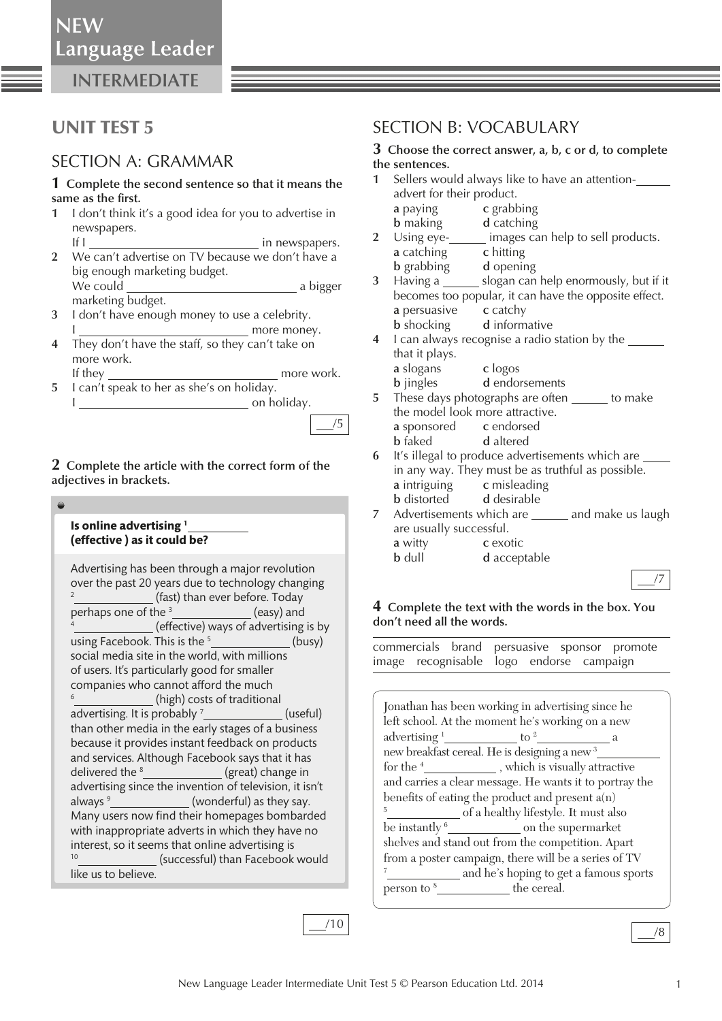**INTERMEDIATE**

# UNIT TEST 5

# SECTION A: GRAMMAR

#### **1 Complete the second sentence so that it means the**  same as the first.

- **1** I don't think it's a good idea for you to advertise in newspapers.
- If I in newspapers.  **2** We can't advertise on TV because we don't have a big enough marketing budget. We could a bigger
- marketing budget.  **3** I don't have enough money to use a celebrity. I more money.
- **4** They don't have the staff, so they can't take on more work.
- If they more work.  **5** I can't speak to her as she's on holiday.

I can be a set on holiday.

## **2 Complete the article with the correct form of the adjectives in brackets.**

| Is online advertising <sup>1</sup><br>(effective) as it could be?                                                                                                                                                                                                                                                                                                                                                                                                                                                                                                                                                                                                                                                                                                                                                                                                                                                                                                                                                                                                                                                                                                                        |
|------------------------------------------------------------------------------------------------------------------------------------------------------------------------------------------------------------------------------------------------------------------------------------------------------------------------------------------------------------------------------------------------------------------------------------------------------------------------------------------------------------------------------------------------------------------------------------------------------------------------------------------------------------------------------------------------------------------------------------------------------------------------------------------------------------------------------------------------------------------------------------------------------------------------------------------------------------------------------------------------------------------------------------------------------------------------------------------------------------------------------------------------------------------------------------------|
| Advertising has been through a major revolution<br>over the past 20 years due to technology changing<br>$\overline{2}$<br>(fast) than ever before. Today<br>perhaps one of the <sup>3</sup> _______________(easy) and<br>(effective) ways of advertising is by<br>using Facebook. This is the $5$ [2001] (busy)<br>social media site in the world, with millions<br>of users. It's particularly good for smaller<br>companies who cannot afford the much<br><sup>6</sup> (high) costs of traditional<br>advertising. It is probably <sup>7</sup> <sub>________________(useful)</sub><br>than other media in the early stages of a business<br>because it provides instant feedback on products<br>and services. Although Facebook says that it has<br>delivered the <sup>8</sup> _______________(great) change in<br>advertising since the invention of television, it isn't<br>always <sup>9</sup> ______________(wonderful) as they say.<br>Many users now find their homepages bombarded<br>with inappropriate adverts in which they have no<br>interest, so it seems that online advertising is<br><sup>10</sup> ____________(successful) than Facebook would<br>like us to believe. |

# SECTION B: VOCABULARY

#### **3 Choose the correct answer, a, b, c or d, to complete the sentences.**

- **1** Sellers would always like to have an attentionadvert for their product. **a** paying **c** grabbing
	- **b** making **d** catching
- **2** Using eye- images can help to sell products. **a** catching **c** hitting
	- **b** grabbing **d** opening
- **3** Having a slogan can help enormously, but if it becomes too popular, it can have the opposite effect. **a** persuasive **c** catchy **b** shocking **d** informative
- **4** I can always recognise a radio station by the that it plays.
	- **a** slogans **c** logos **b** jingles **d** endorsements
- **5** These days photographs are often to make the model look more attractive. **a** sponsored **c** endorsed
	- **b** faked **d** altered
- **6** It's illegal to produce advertisements which are in any way. They must be as truthful as possible. **a** intriguing **c** misleading
	- **b** distorted **d** desirable
- **7** Advertisements which are \_\_\_\_\_ and make us laugh are usually successful. **a** witty **c** exotic
	- **b** dull **d** acceptable

# /7

## **4 Complete the text with the words in the box. You don't need all the words.**

 commercials brand persuasive sponsor promote image recognisable logo endorse campaign

| Jonathan has been working in advertising since he                  |                                              |  |  |  |  |
|--------------------------------------------------------------------|----------------------------------------------|--|--|--|--|
| left school. At the moment he's working on a new                   |                                              |  |  |  |  |
|                                                                    | advertising $\frac{1}{2}$ to $\frac{2}{2}$ a |  |  |  |  |
| new breakfast cereal. He is designing a new <sup>3</sup> _         |                                              |  |  |  |  |
| for the <sup>4</sup> _______________, which is visually attractive |                                              |  |  |  |  |
| and carries a clear message. He wants it to portray the            |                                              |  |  |  |  |
| benefits of eating the product and present $a(n)$                  |                                              |  |  |  |  |
| 5                                                                  | _ of a healthy lifestyle. It must also       |  |  |  |  |
|                                                                    |                                              |  |  |  |  |
| shelves and stand out from the competition. Apart                  |                                              |  |  |  |  |
| from a poster campaign, there will be a series of TV               |                                              |  |  |  |  |
| 7<br>and he's hoping to get a famous sports                        |                                              |  |  |  |  |
| $person to 8$ the cereal.                                          |                                              |  |  |  |  |
|                                                                    |                                              |  |  |  |  |

/10

/5

/8